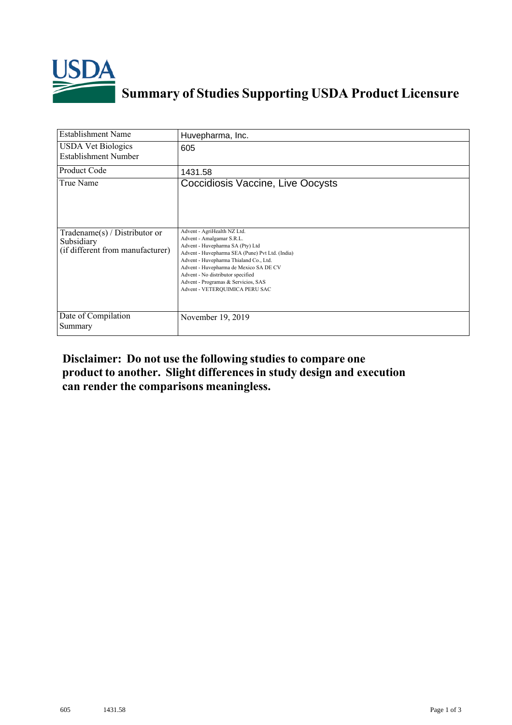

## **Summary of Studies Supporting USDA Product Licensure**

| <b>Establishment Name</b>                                                          | Huvepharma, Inc.                                                                                                                                                                                                                                                                                                                                  |
|------------------------------------------------------------------------------------|---------------------------------------------------------------------------------------------------------------------------------------------------------------------------------------------------------------------------------------------------------------------------------------------------------------------------------------------------|
| <b>USDA Vet Biologics</b><br><b>Establishment Number</b>                           | 605                                                                                                                                                                                                                                                                                                                                               |
| Product Code                                                                       | 1431.58                                                                                                                                                                                                                                                                                                                                           |
| True Name                                                                          | Coccidiosis Vaccine, Live Oocysts                                                                                                                                                                                                                                                                                                                 |
| Tradename $(s)$ / Distributor or<br>Subsidiary<br>(if different from manufacturer) | Advent - AgriHealth NZ Ltd.<br>Advent - Amalgamar S.R.L.<br>Advent - Huvepharma SA (Pty) Ltd<br>Advent - Huvepharma SEA (Pune) Pvt Ltd. (India)<br>Advent - Huvepharma Thialand Co., Ltd.<br>Advent - Huvepharma de Mexico SA DE CV<br>Advent - No distributor specified<br>Advent - Programas & Servicios, SAS<br>Advent - VETERQUIMICA PERU SAC |
| Date of Compilation<br>Summary                                                     | November 19, 2019                                                                                                                                                                                                                                                                                                                                 |

## **Disclaimer: Do not use the following studiesto compare one product to another. Slight differencesin study design and execution can render the comparisons meaningless.**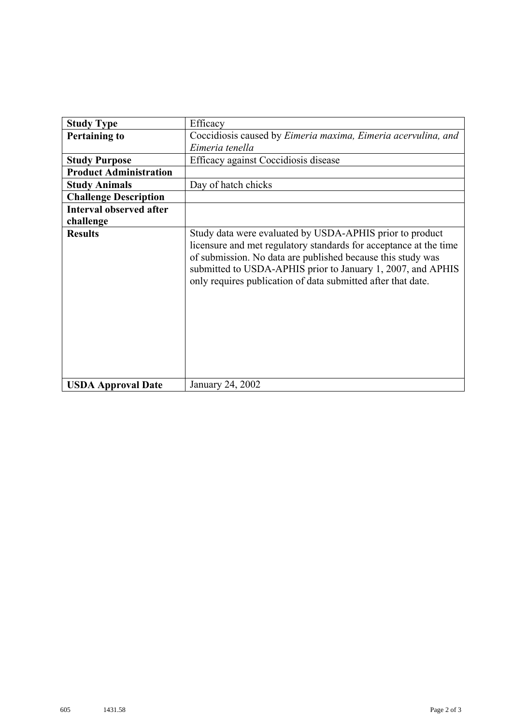| <b>Study Type</b>              | Efficacy                                                                                                                                                                                                                                                                                                                    |
|--------------------------------|-----------------------------------------------------------------------------------------------------------------------------------------------------------------------------------------------------------------------------------------------------------------------------------------------------------------------------|
| <b>Pertaining to</b>           | Coccidiosis caused by Eimeria maxima, Eimeria acervulina, and                                                                                                                                                                                                                                                               |
|                                | Eimeria tenella                                                                                                                                                                                                                                                                                                             |
| <b>Study Purpose</b>           | Efficacy against Coccidiosis disease                                                                                                                                                                                                                                                                                        |
| <b>Product Administration</b>  |                                                                                                                                                                                                                                                                                                                             |
| <b>Study Animals</b>           | Day of hatch chicks                                                                                                                                                                                                                                                                                                         |
| <b>Challenge Description</b>   |                                                                                                                                                                                                                                                                                                                             |
| <b>Interval observed after</b> |                                                                                                                                                                                                                                                                                                                             |
| challenge                      |                                                                                                                                                                                                                                                                                                                             |
| <b>Results</b>                 | Study data were evaluated by USDA-APHIS prior to product<br>licensure and met regulatory standards for acceptance at the time<br>of submission. No data are published because this study was<br>submitted to USDA-APHIS prior to January 1, 2007, and APHIS<br>only requires publication of data submitted after that date. |
| <b>USDA Approval Date</b>      | January 24, 2002                                                                                                                                                                                                                                                                                                            |